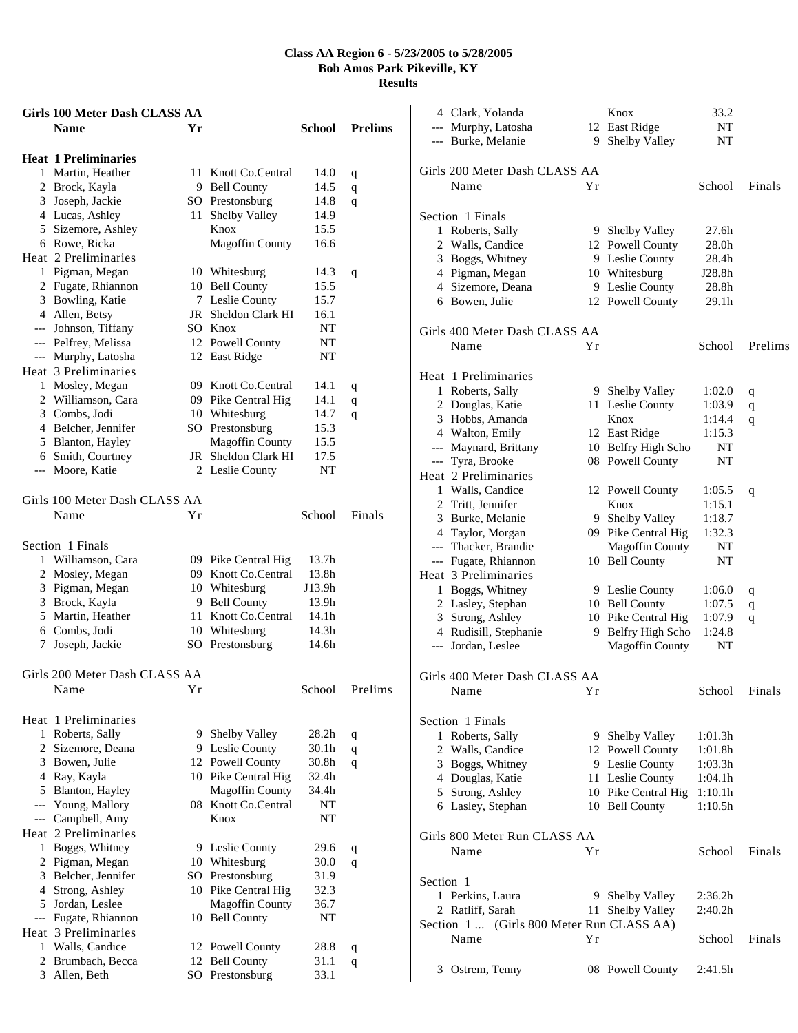|       | Girls 100 Meter Dash CLASS AA |    |                        |                   |                |
|-------|-------------------------------|----|------------------------|-------------------|----------------|
|       | <b>Name</b>                   | Yr |                        | School            | <b>Prelims</b> |
|       | <b>Heat 1 Preliminaries</b>   |    |                        |                   |                |
|       | 1 Martin, Heather             | 11 | Knott Co.Central       | 14.0              | q              |
|       | 2 Brock, Kayla                |    | 9 Bell County          | 14.5              | $\mathbf q$    |
|       | 3 Joseph, Jackie              |    | SO Prestonsburg        | 14.8              | q              |
|       | 4 Lucas, Ashley               | 11 | Shelby Valley          | 14.9              |                |
|       | 5 Sizemore, Ashley            |    | Knox                   | 15.5              |                |
|       | 6 Rowe, Ricka                 |    | <b>Magoffin County</b> | 16.6              |                |
|       | Heat 2 Preliminaries          |    |                        |                   |                |
|       | 1 Pigman, Megan               |    | 10 Whitesburg          | 14.3              | q              |
|       | 2 Fugate, Rhiannon            |    | 10 Bell County         | 15.5              |                |
|       | 3 Bowling, Katie              | 7  | Leslie County          | 15.7              |                |
|       | 4 Allen, Betsy                |    | JR Sheldon Clark HI    | 16.1              |                |
|       | --- Johnson, Tiffany          |    | SO Knox                | NT                |                |
|       | --- Pelfrey, Melissa          |    | 12 Powell County       | NT                |                |
|       | --- Murphy, Latosha           |    | 12 East Ridge          | NT                |                |
|       | Heat 3 Preliminaries          |    |                        |                   |                |
|       | 1 Mosley, Megan               |    | 09 Knott Co.Central    | 14.1              | q              |
|       | 2 Williamson, Cara            |    | 09 Pike Central Hig    | 14.1              | $\mathbf q$    |
|       | 3 Combs, Jodi                 |    | 10 Whitesburg          | 14.7              | q              |
|       | 4 Belcher, Jennifer           |    | SO Prestonsburg        | 15.3              |                |
|       | 5 Blanton, Hayley             |    | <b>Magoffin County</b> | 15.5              |                |
|       | 6 Smith, Courtney             |    | JR Sheldon Clark HI    | 17.5              |                |
|       | --- Moore, Katie              |    | 2 Leslie County        | NT                |                |
|       |                               |    |                        |                   |                |
|       | Girls 100 Meter Dash CLASS AA |    |                        |                   |                |
|       | Name                          | Υr |                        | School            | Finals         |
|       | Section 1 Finals              |    |                        |                   |                |
|       | 1 Williamson, Cara            |    | 09 Pike Central Hig    | 13.7h             |                |
|       | 2 Mosley, Megan               |    | 09 Knott Co.Central    | 13.8h             |                |
|       | 3 Pigman, Megan               |    | 10 Whitesburg          | J13.9h            |                |
|       | 3 Brock, Kayla                |    | 9 Bell County          | 13.9h             |                |
|       | 5 Martin, Heather             |    | 11 Knott Co.Central    | 14.1h             |                |
|       | 6 Combs, Jodi                 |    | 10 Whitesburg          | 14.3h             |                |
| 7.    | Joseph, Jackie                |    | SO Prestonsburg        | 14.6h             |                |
|       |                               |    |                        |                   |                |
|       | Girls 200 Meter Dash CLASS AA |    |                        |                   |                |
|       | Name                          | Υr |                        | School            | Prelims        |
|       | Heat 1 Preliminaries          |    |                        |                   |                |
|       | 1 Roberts, Sally              |    | 9 Shelby Valley        | 28.2 <sub>h</sub> | q              |
|       | 2 Sizemore, Deana             |    | 9 Leslie County        | 30.1h             | $\mathbf q$    |
|       | 3 Bowen, Julie                |    | 12 Powell County       | 30.8h             | q              |
|       | 4 Ray, Kayla                  |    | 10 Pike Central Hig    | 32.4h             |                |
|       | 5 Blanton, Hayley             |    | <b>Magoffin County</b> | 34.4h             |                |
|       | --- Young, Mallory            | 08 | Knott Co.Central       | NT                |                |
|       | --- Campbell, Amy             |    | Knox                   | NT                |                |
|       | Heat 2 Preliminaries          |    |                        |                   |                |
|       | 1 Boggs, Whitney              |    | 9 Leslie County        | 29.6              | q              |
|       | 2 Pigman, Megan               |    | 10 Whitesburg          | 30.0              | q              |
|       | 3 Belcher, Jennifer           |    | SO Prestonsburg        | 31.9              |                |
|       | 4 Strong, Ashley              |    | 10 Pike Central Hig    | 32.3              |                |
|       | 5 Jordan, Leslee              |    | <b>Magoffin County</b> | 36.7              |                |
| $---$ | Fugate, Rhiannon              |    | 10 Bell County         | NT                |                |
|       | Heat 3 Preliminaries          |    |                        |                   |                |
| 1     | Walls, Candice                |    | 12 Powell County       | 28.8              | q              |
|       | 2 Brumbach, Becca             |    | 12 Bell County         | 31.1              | q              |
|       | 3 Allen, Beth                 |    | SO Prestonsburg        | 33.1              |                |

|           | 4 Clark, Yolanda<br>--- Murphy, Latosha   |    | Knox<br>12 East Ridge                         | 33.2<br>NΤ          |         |
|-----------|-------------------------------------------|----|-----------------------------------------------|---------------------|---------|
|           | --- Burke, Melanie                        | 9. | Shelby Valley                                 | NΤ                  |         |
|           |                                           |    |                                               |                     |         |
|           | Girls 200 Meter Dash CLASS AA             |    |                                               |                     |         |
|           | Name                                      | Υr |                                               | School              | Finals  |
|           |                                           |    |                                               |                     |         |
|           | Section 1 Finals                          |    |                                               |                     |         |
|           | 1 Roberts, Sally                          |    | 9 Shelby Valley                               | 27.6h               |         |
|           | 2 Walls, Candice                          |    | 12 Powell County                              | 28.0 <sub>h</sub>   |         |
|           | 3 Boggs, Whitney                          |    | 9 Leslie County                               | 28.4h               |         |
|           | 4 Pigman, Megan<br>4 Sizemore, Deana      |    | 10 Whitesburg<br>9 Leslie County              | J28.8h<br>28.8h     |         |
|           | 6 Bowen, Julie                            |    | 12 Powell County                              | 29.1h               |         |
|           |                                           |    |                                               |                     |         |
|           | Girls 400 Meter Dash CLASS AA             |    |                                               |                     |         |
|           | Name                                      | Υr |                                               | School              | Prelims |
|           |                                           |    |                                               |                     |         |
|           | Heat 1 Preliminaries                      |    |                                               |                     |         |
|           | 1 Roberts, Sally                          |    | 9 Shelby Valley                               | 1:02.0              | q       |
|           | 2 Douglas, Katie                          |    | 11 Leslie County                              | 1:03.9              | q       |
|           | 3 Hobbs, Amanda                           |    | Knox                                          | 1:14.4              | q       |
|           | 4 Walton, Emily                           |    | 12 East Ridge                                 | 1:15.3              |         |
|           | --- Maynard, Brittany                     |    | 10 Belfry High Scho                           | NT                  |         |
|           | --- Tyra, Brooke                          |    | 08 Powell County                              | NT                  |         |
|           | Heat 2 Preliminaries                      |    |                                               |                     |         |
|           | 1 Walls, Candice                          |    | 12 Powell County                              | 1:05.5              | q       |
|           | 2 Tritt, Jennifer                         |    | Knox                                          | 1:15.1              |         |
|           | 3 Burke, Melanie                          |    | 9 Shelby Valley                               | 1:18.7              |         |
|           | 4 Taylor, Morgan<br>--- Thacker, Brandie  |    | 09 Pike Central Hig<br><b>Magoffin County</b> | 1:32.3              |         |
|           | --- Fugate, Rhiannon                      |    | 10 Bell County                                | NΤ<br>NΤ            |         |
|           | Heat 3 Preliminaries                      |    |                                               |                     |         |
|           | 1 Boggs, Whitney                          |    | 9 Leslie County                               | 1:06.0              |         |
|           | 2 Lasley, Stephan                         |    | 10 Bell County                                | 1:07.5              | q<br>q  |
|           | 3 Strong, Ashley                          |    | 10 Pike Central Hig                           | 1:07.9              | q       |
|           | 4 Rudisill, Stephanie                     |    | 9 Belfry High Scho                            | 1:24.8              |         |
|           | --- Jordan, Leslee                        |    | Magoffin County                               | NT                  |         |
|           |                                           |    |                                               |                     |         |
|           | Girls 400 Meter Dash CLASS AA             |    |                                               |                     |         |
|           | Name                                      | Υr |                                               | School              | Finals  |
|           |                                           |    |                                               |                     |         |
|           | Section 1 Finals                          |    |                                               |                     |         |
|           | 1 Roberts, Sally                          |    | 9 Shelby Valley                               | 1:01.3h             |         |
|           | 2 Walls, Candice                          |    | 12 Powell County                              | 1:01.8h             |         |
|           | 3 Boggs, Whitney                          |    | 9 Leslie County                               | 1:03.3h             |         |
|           | 4 Douglas, Katie                          |    | 11 Leslie County                              | 1:04.1h             |         |
|           | 5 Strong, Ashley                          |    | 10 Pike Central Hig                           | 1:10.1h             |         |
|           | 6 Lasley, Stephan                         |    | 10 Bell County                                | 1:10.5h             |         |
|           |                                           |    |                                               |                     |         |
|           | Girls 800 Meter Run CLASS AA              |    |                                               |                     |         |
|           | Name                                      | Υr |                                               | School              | Finals  |
| Section 1 |                                           |    |                                               |                     |         |
|           | 1 Perkins, Laura                          | 9. | Shelby Valley                                 | 2:36.2h             |         |
|           | 2 Ratliff, Sarah                          | 11 | Shelby Valley                                 | 2:40.2 <sub>h</sub> |         |
|           | Section 1  (Girls 800 Meter Run CLASS AA) |    |                                               |                     |         |
|           | Name                                      | Υr |                                               | School              | Finals  |
|           |                                           |    |                                               |                     |         |
|           | 3 Ostrem, Tenny                           |    | 08 Powell County                              | 2:41.5h             |         |
|           |                                           |    |                                               |                     |         |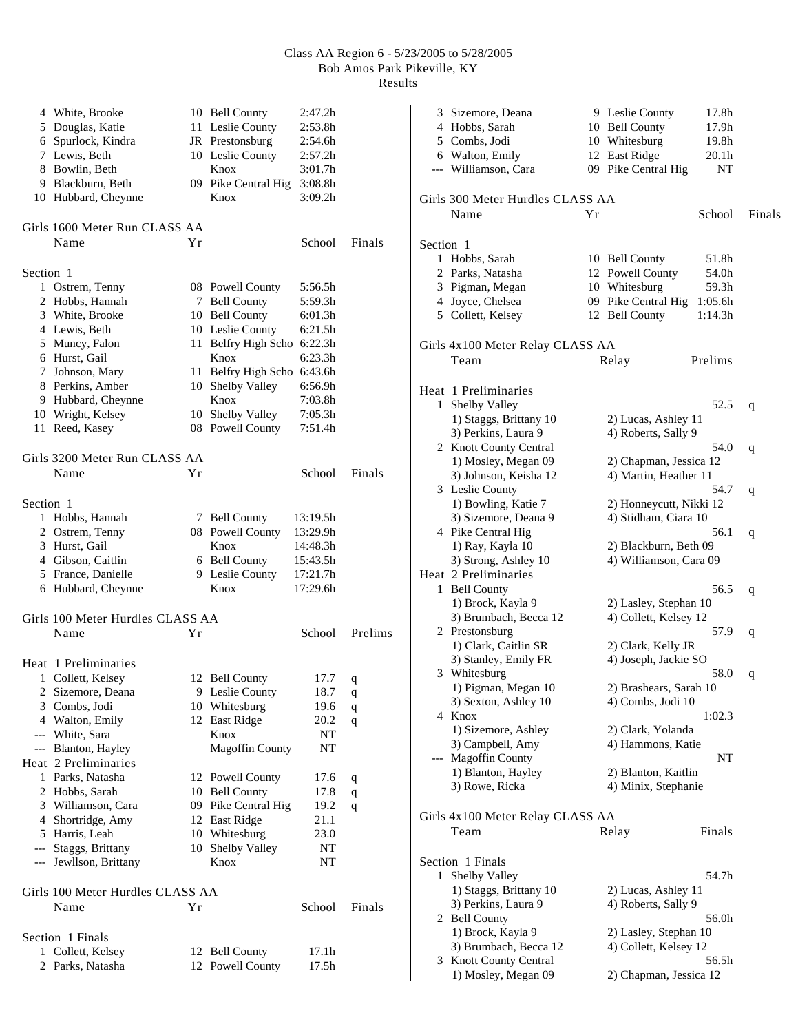|           | 4 White, Brooke<br>5 Douglas, Katie<br>6 Spurlock, Kindra<br>7 Lewis, Beth |    | 10 Bell County<br>11 Leslie County<br>JR Prestonsburg<br>10 Leslie County | 2:47.2h<br>2:53.8h<br>2:54.6h<br>2:57.2h |         |
|-----------|----------------------------------------------------------------------------|----|---------------------------------------------------------------------------|------------------------------------------|---------|
|           | 8 Bowlin, Beth<br>9 Blackburn, Beth<br>10 Hubbard, Cheynne                 |    | Knox<br>09 Pike Central Hig<br>Knox                                       | 3:01.7h<br>3:08.8h<br>3:09.2h            |         |
|           | Girls 1600 Meter Run CLASS AA<br>Name                                      | Υr |                                                                           | School                                   | Finals  |
| Section 1 |                                                                            |    |                                                                           |                                          |         |
|           | 1 Ostrem, Tenny                                                            |    | 08 Powell County                                                          | 5:56.5h                                  |         |
|           | 2 Hobbs, Hannah                                                            |    | 7 Bell County                                                             | 5:59.3h                                  |         |
|           | 3 White, Brooke                                                            |    | 10 Bell County                                                            | 6:01.3h                                  |         |
|           | 4 Lewis, Beth                                                              |    | 10 Leslie County                                                          | 6:21.5h                                  |         |
|           | 5 Muncy, Falon                                                             |    | 11 Belfry High Scho 6:22.3h                                               |                                          |         |
|           | 6 Hurst, Gail                                                              |    | Knox                                                                      | 6:23.3h                                  |         |
|           | 7 Johnson, Mary                                                            |    | 11 Belfry High Scho                                                       | 6:43.6h                                  |         |
|           | 8 Perkins, Amber                                                           |    | 10 Shelby Valley                                                          | 6:56.9h                                  |         |
|           | 9 Hubbard, Cheynne                                                         |    | Knox                                                                      | 7:03.8h                                  |         |
|           | 10 Wright, Kelsey                                                          |    | 10 Shelby Valley                                                          | 7:05.3h                                  |         |
| 11        | Reed, Kasey                                                                |    | 08 Powell County                                                          | 7:51.4h                                  |         |
|           | Girls 3200 Meter Run CLASS AA                                              |    |                                                                           |                                          |         |
|           | Name                                                                       | Υr |                                                                           | School                                   | Finals  |
| Section 1 |                                                                            |    |                                                                           |                                          |         |
| 1         | Hobbs, Hannah                                                              |    | 7 Bell County                                                             | 13:19.5h                                 |         |
|           | 2 Ostrem, Tenny                                                            |    | 08 Powell County                                                          | 13:29.9h                                 |         |
|           | 3 Hurst, Gail                                                              |    | Knox                                                                      | 14:48.3h                                 |         |
|           | 4 Gibson, Caitlin                                                          |    | 6 Bell County                                                             | 15:43.5h                                 |         |
|           | 5 France, Danielle                                                         |    | 9 Leslie County                                                           | 17:21.7h                                 |         |
|           | 6 Hubbard, Cheynne                                                         |    | Knox                                                                      | 17:29.6h                                 |         |
|           | Girls 100 Meter Hurdles CLASS AA                                           |    |                                                                           |                                          |         |
|           | Name                                                                       | Υr |                                                                           | School                                   | Prelims |
|           | Heat 1 Preliminaries                                                       |    |                                                                           |                                          |         |
| 1         | Collett, Kelsey                                                            |    | 12 Bell County                                                            | 17.7                                     | q       |
| 2         | Sizemore, Deana                                                            |    | 9 Leslie County                                                           | 18.7                                     | q       |
| 3         | Combs, Jodi                                                                |    | 10 Whitesburg                                                             | 19.6                                     | q       |
|           | 4 Walton, Emily                                                            |    | 12 East Ridge                                                             | 20.2                                     | q       |
| $---$     | White, Sara                                                                |    | Knox                                                                      | NT                                       |         |
| $---$     | Blanton, Hayley                                                            |    | <b>Magoffin County</b>                                                    | NT                                       |         |
|           | Heat 2 Preliminaries                                                       |    |                                                                           |                                          |         |
| 1         | Parks, Natasha                                                             |    | 12 Powell County                                                          | 17.6                                     | q       |
|           | 2 Hobbs, Sarah                                                             |    | 10 Bell County                                                            | 17.8                                     | q       |
|           | 3 Williamson, Cara                                                         |    | 09 Pike Central Hig                                                       | 19.2                                     | q       |
|           | 4 Shortridge, Amy                                                          |    | 12 East Ridge                                                             | 21.1                                     |         |
|           | 5 Harris, Leah                                                             |    | 10 Whitesburg                                                             | 23.0                                     |         |
|           | --- Staggs, Brittany<br>--- Jewllson, Brittany                             | 10 | Shelby Valley<br>Knox                                                     | NT<br>NT                                 |         |
|           |                                                                            |    |                                                                           |                                          |         |
|           | Girls 100 Meter Hurdles CLASS AA                                           |    |                                                                           |                                          |         |
|           | Name                                                                       | Υr |                                                                           | School                                   | Finals  |
|           | Section 1 Finals                                                           |    |                                                                           |                                          |         |
| 1         | Collett, Kelsey                                                            |    | 12 Bell County                                                            | 17.1h                                    |         |
| 2         | Parks, Natasha                                                             | 12 | Powell County                                                             | 17.5h                                    |         |

| 3            | Sizemore, Deana<br>4 Hobbs, Sarah<br>5 Combs, Jodi<br>6 Walton, Emily<br>--- Williamson, Cara |    | 9 Leslie County<br>10 Bell County<br>10 Whitesburg<br>12 East Ridge<br>09 Pike Central Hig | 17.8h<br>17.9h<br>19.8h<br>20.1 <sub>h</sub><br>NT |        |
|--------------|-----------------------------------------------------------------------------------------------|----|--------------------------------------------------------------------------------------------|----------------------------------------------------|--------|
|              | Girls 300 Meter Hurdles CLASS AA<br>Name                                                      | Υr |                                                                                            | School                                             | Finals |
| Section 1    |                                                                                               |    |                                                                                            |                                                    |        |
|              | 1 Hobbs, Sarah                                                                                |    | 10 Bell County                                                                             | 51.8h                                              |        |
|              | 2 Parks, Natasha                                                                              |    | 12 Powell County                                                                           | 54.0h                                              |        |
|              | 3 Pigman, Megan                                                                               |    | 10 Whitesburg                                                                              | 59.3h                                              |        |
| 4            | Joyce, Chelsea<br>5 Collett, Kelsey                                                           |    | 09 Pike Central Hig<br>12 Bell County                                                      | 1:05.6h<br>1:14.3h                                 |        |
|              |                                                                                               |    |                                                                                            |                                                    |        |
|              | Girls 4x100 Meter Relay CLASS AA                                                              |    |                                                                                            |                                                    |        |
|              | Team                                                                                          |    | Relay                                                                                      | Prelims                                            |        |
|              | Heat 1 Preliminaries                                                                          |    |                                                                                            |                                                    |        |
| 1            | Shelby Valley                                                                                 |    |                                                                                            | 52.5                                               | q      |
|              | 1) Staggs, Brittany 10                                                                        |    | 2) Lucas, Ashley 11                                                                        |                                                    |        |
|              | 3) Perkins, Laura 9                                                                           |    | 4) Roberts, Sally 9                                                                        |                                                    |        |
|              | 2 Knott County Central                                                                        |    |                                                                                            | 54.0                                               | q      |
|              | 1) Mosley, Megan 09                                                                           |    | 2) Chapman, Jessica 12                                                                     |                                                    |        |
|              | 3) Johnson, Keisha 12                                                                         |    | 4) Martin, Heather 11                                                                      |                                                    |        |
|              | 3 Leslie County                                                                               |    |                                                                                            | 54.7                                               | q      |
|              | 1) Bowling, Katie 7<br>3) Sizemore, Deana 9                                                   |    | 2) Honneycutt, Nikki 12<br>4) Stidham, Ciara 10                                            |                                                    |        |
|              | 4 Pike Central Hig                                                                            |    |                                                                                            | 56.1                                               |        |
|              | 1) Ray, Kayla 10                                                                              |    | 2) Blackburn, Beth 09                                                                      |                                                    | q      |
|              | 3) Strong, Ashley 10                                                                          |    | 4) Williamson, Cara 09                                                                     |                                                    |        |
|              | Heat 2 Preliminaries                                                                          |    |                                                                                            |                                                    |        |
|              | 1 Bell County                                                                                 |    |                                                                                            | 56.5                                               | q      |
|              | 1) Brock, Kayla 9                                                                             |    | 2) Lasley, Stephan 10                                                                      |                                                    |        |
|              | 3) Brumbach, Becca 12                                                                         |    | 4) Collett, Kelsey 12                                                                      |                                                    |        |
|              | 2 Prestonsburg                                                                                |    |                                                                                            | 57.9                                               | q      |
|              | 1) Clark, Caitlin SR                                                                          |    | 2) Clark, Kelly JR                                                                         |                                                    |        |
|              | 3) Stanley, Emily FR                                                                          |    | 4) Joseph, Jackie SO                                                                       |                                                    |        |
|              | 3 Whitesburg                                                                                  |    |                                                                                            | 58.0                                               | q      |
|              | 1) Pigman, Megan 10                                                                           |    | 2) Brashears, Sarah 10                                                                     |                                                    |        |
|              | 3) Sexton, Ashley 10                                                                          |    | 4) Combs, Jodi 10                                                                          |                                                    |        |
|              | 4 Knox                                                                                        |    |                                                                                            | 1:02.3                                             |        |
|              | 1) Sizemore, Ashley                                                                           |    | 2) Clark, Yolanda                                                                          |                                                    |        |
|              | 3) Campbell, Amy                                                                              |    | 4) Hammons, Katie                                                                          |                                                    |        |
|              | --- Magoffin County                                                                           |    |                                                                                            | NT                                                 |        |
|              | 1) Blanton, Hayley                                                                            |    | 2) Blanton, Kaitlin                                                                        |                                                    |        |
|              | 3) Rowe, Ricka                                                                                |    | 4) Minix, Stephanie                                                                        |                                                    |        |
|              | Girls 4x100 Meter Relay CLASS AA                                                              |    |                                                                                            |                                                    |        |
|              | Team                                                                                          |    | Relay                                                                                      | Finals                                             |        |
|              |                                                                                               |    |                                                                                            |                                                    |        |
| $\mathbf{1}$ | Section 1 Finals<br>Shelby Valley                                                             |    |                                                                                            | 54.7h                                              |        |
|              | 1) Staggs, Brittany 10                                                                        |    | 2) Lucas, Ashley 11                                                                        |                                                    |        |
|              | 3) Perkins, Laura 9                                                                           |    | 4) Roberts, Sally 9                                                                        |                                                    |        |
|              | 2 Bell County                                                                                 |    |                                                                                            | 56.0h                                              |        |
|              | 1) Brock, Kayla 9                                                                             |    | 2) Lasley, Stephan 10                                                                      |                                                    |        |
|              | 3) Brumbach, Becca 12                                                                         |    | 4) Collett, Kelsey 12                                                                      |                                                    |        |
|              | 3 Knott County Central                                                                        |    |                                                                                            | 56.5h                                              |        |
|              | 1) Mosley, Megan 09                                                                           |    | 2) Chapman, Jessica 12                                                                     |                                                    |        |
|              |                                                                                               |    |                                                                                            |                                                    |        |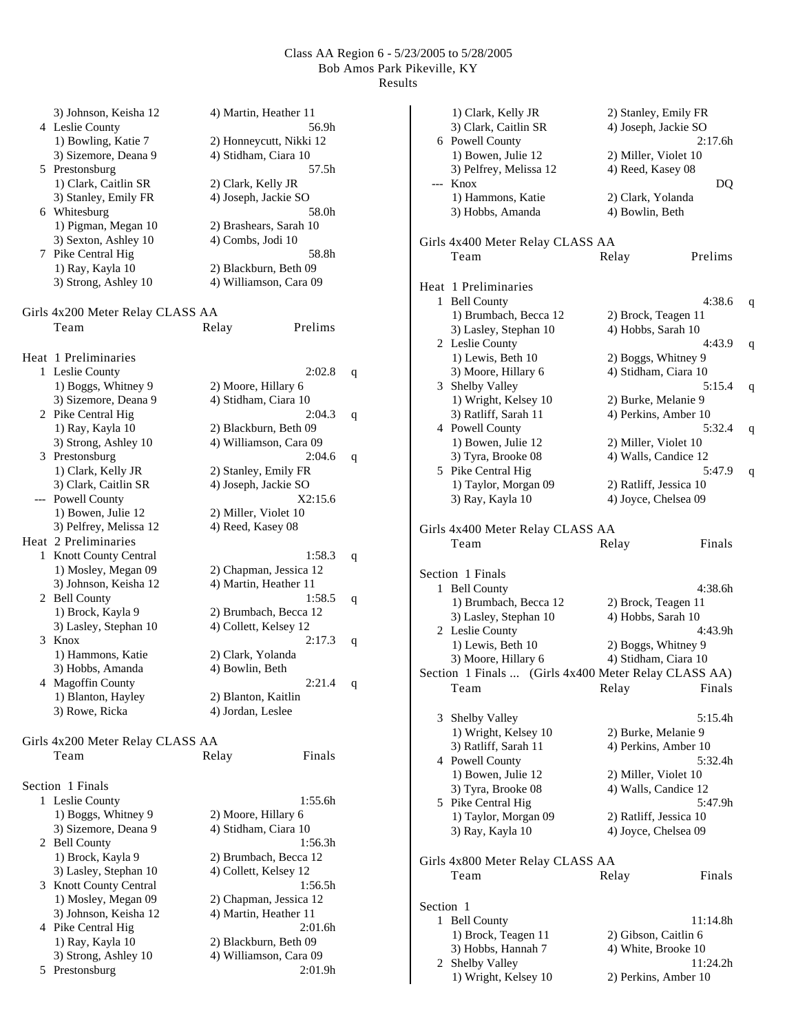|   | 3) Johnson, Keisha 12                  | 4) Martin, Heather 11           |   |
|---|----------------------------------------|---------------------------------|---|
|   | 4 Leslie County                        | 56.9h                           |   |
|   | 1) Bowling, Katie 7                    | 2) Honneycutt, Nikki 12         |   |
|   | 3) Sizemore, Deana 9<br>5 Prestonsburg | 4) Stidham, Ciara 10<br>57.5h   |   |
|   | 1) Clark, Caitlin SR                   | 2) Clark, Kelly JR              |   |
|   | 3) Stanley, Emily FR                   | 4) Joseph, Jackie SO            |   |
|   | 6 Whitesburg                           | 58.0h                           |   |
|   | 1) Pigman, Megan 10                    | 2) Brashears, Sarah 10          |   |
|   | 3) Sexton, Ashley 10                   | 4) Combs, Jodi 10               |   |
|   | 7 Pike Central Hig                     | 58.8h                           |   |
|   | 1) Ray, Kayla 10                       | 2) Blackburn, Beth 09           |   |
|   | 3) Strong, Ashley 10                   | 4) Williamson, Cara 09          |   |
|   |                                        |                                 |   |
|   | Girls 4x200 Meter Relay CLASS AA       |                                 |   |
|   | Team                                   | Prelims<br>Relay                |   |
|   | Heat 1 Preliminaries                   |                                 |   |
|   | 1 Leslie County                        | 2:02.8                          | q |
|   | 1) Boggs, Whitney 9                    | 2) Moore, Hillary 6             |   |
|   | 3) Sizemore, Deana 9                   | 4) Stidham, Ciara 10            |   |
|   | 2 Pike Central Hig                     | 2:04.3                          | q |
|   | 1) Ray, Kayla 10                       | 2) Blackburn, Beth 09           |   |
|   | 3) Strong, Ashley 10                   | 4) Williamson, Cara 09          |   |
|   | 3 Prestonsburg                         | 2:04.6                          | q |
|   | 1) Clark, Kelly JR                     | 2) Stanley, Emily FR            |   |
|   | 3) Clark, Caitlin SR                   | 4) Joseph, Jackie SO            |   |
|   | --- Powell County                      | X2:15.6                         |   |
|   | 1) Bowen, Julie 12                     | 2) Miller, Violet 10            |   |
|   | 3) Pelfrey, Melissa 12                 | 4) Reed, Kasey 08               |   |
|   | Heat 2 Preliminaries                   |                                 |   |
| 1 | Knott County Central                   | 1:58.3                          | q |
|   | 1) Mosley, Megan 09                    | 2) Chapman, Jessica 12          |   |
|   | 3) Johnson, Keisha 12                  | 4) Martin, Heather 11           |   |
|   | 2 Bell County<br>1) Brock, Kayla 9     | 1:58.5<br>2) Brumbach, Becca 12 | q |
|   | 3) Lasley, Stephan 10                  | 4) Collett, Kelsey 12           |   |
| 3 | Knox                                   | 2:17.3                          | q |
|   | 1) Hammons, Katie                      | 2) Clark, Yolanda               |   |
|   | 3) Hobbs, Amanda                       | 4) Bowlin, Beth                 |   |
|   | 4 Magoffin County                      | 2:21.4                          | q |
|   | 1) Blanton, Hayley                     | 2) Blanton, Kaitlin             |   |
|   | 3) Rowe, Ricka                         | 4) Jordan, Leslee               |   |
|   |                                        |                                 |   |
|   | Girls 4x200 Meter Relay CLASS AA       |                                 |   |
|   | Team                                   | Relay<br>Finals                 |   |
|   | Section 1 Finals                       |                                 |   |
|   | 1 Leslie County                        | 1:55.6h                         |   |
|   | 1) Boggs, Whitney 9                    | 2) Moore, Hillary 6             |   |
|   | 3) Sizemore, Deana 9                   | 4) Stidham, Ciara 10            |   |
|   | 2 Bell County                          | 1:56.3h                         |   |
|   | 1) Brock, Kayla 9                      | 2) Brumbach, Becca 12           |   |
|   | 3) Lasley, Stephan 10                  | 4) Collett, Kelsey 12           |   |
| 3 | Knott County Central                   | 1:56.5h                         |   |
|   | 1) Mosley, Megan 09                    | 2) Chapman, Jessica 12          |   |
|   | 3) Johnson, Keisha 12                  | 4) Martin, Heather 11           |   |
|   | 4 Pike Central Hig                     | 2:01.6h                         |   |
|   | 1) Ray, Kayla 10                       | 2) Blackburn, Beth 09           |   |
|   | 3) Strong, Ashley 10                   | 4) Williamson, Cara 09          |   |
| 5 | Prestonsburg                           | 2:01.9h                         |   |

|           | 1) Clark, Kelly JR                                   | 2) Stanley, Emily FR   |          |             |
|-----------|------------------------------------------------------|------------------------|----------|-------------|
|           | 3) Clark, Caitlin SR                                 | 4) Joseph, Jackie SO   |          |             |
|           | 6 Powell County                                      |                        | 2:17.6h  |             |
|           | 1) Bowen, Julie 12                                   | 2) Miller, Violet 10   |          |             |
|           | 3) Pelfrey, Melissa 12                               | 4) Reed, Kasey 08      |          |             |
| ---       | Knox                                                 |                        | DO       |             |
|           | 1) Hammons, Katie                                    | 2) Clark, Yolanda      |          |             |
|           | 3) Hobbs, Amanda                                     | 4) Bowlin, Beth        |          |             |
|           |                                                      |                        |          |             |
|           | Girls 4x400 Meter Relay CLASS AA                     |                        |          |             |
|           | Team                                                 | Relay                  | Prelims  |             |
|           |                                                      |                        |          |             |
|           |                                                      |                        |          |             |
|           | Heat 1 Preliminaries                                 |                        |          |             |
| 1         | <b>Bell County</b>                                   |                        | 4:38.6   | q           |
|           | 1) Brumbach, Becca 12                                | 2) Brock, Teagen 11    |          |             |
|           | 3) Lasley, Stephan 10                                | 4) Hobbs, Sarah 10     |          |             |
|           | 2 Leslie County                                      |                        | 4:43.9   | q           |
|           | 1) Lewis, Beth 10                                    | 2) Boggs, Whitney 9    |          |             |
|           | 3) Moore, Hillary 6                                  | 4) Stidham, Ciara 10   |          |             |
|           | 3 Shelby Valley                                      |                        | 5:15.4   | q           |
|           | 1) Wright, Kelsey 10                                 | 2) Burke, Melanie 9    |          |             |
|           | 3) Ratliff, Sarah 11                                 | 4) Perkins, Amber 10   |          |             |
|           | 4 Powell County                                      |                        | 5:32.4   | q           |
|           | 1) Bowen, Julie 12                                   | 2) Miller, Violet 10   |          |             |
|           | 3) Tyra, Brooke 08                                   | 4) Walls, Candice 12   |          |             |
|           | 5 Pike Central Hig                                   |                        | 5:47.9   | $\mathbf q$ |
|           | 1) Taylor, Morgan 09                                 | 2) Ratliff, Jessica 10 |          |             |
|           | 3) Ray, Kayla 10                                     | 4) Joyce, Chelsea 09   |          |             |
|           |                                                      |                        |          |             |
|           |                                                      |                        |          |             |
|           | Girls 4x400 Meter Relay CLASS AA                     |                        |          |             |
|           | Team                                                 | Relay                  | Finals   |             |
|           |                                                      |                        |          |             |
|           | Section 1 Finals                                     |                        |          |             |
| 1         | <b>Bell County</b>                                   |                        | 4:38.6h  |             |
|           | 1) Brumbach, Becca 12                                | 2) Brock, Teagen 11    |          |             |
|           | 3) Lasley, Stephan 10                                | 4) Hobbs, Sarah 10     |          |             |
|           | 2 Leslie County                                      |                        | 4:43.9h  |             |
|           | 1) Lewis, Beth 10                                    | 2) Boggs, Whitney 9    |          |             |
|           | 3) Moore, Hillary 6                                  | 4) Stidham, Ciara 10   |          |             |
|           | Section 1 Finals  (Girls 4x400 Meter Relay CLASS AA) |                        |          |             |
|           | Team                                                 | Relay Finals           |          |             |
|           |                                                      |                        |          |             |
| 3         | Shelby Valley                                        |                        | 5:15.4h  |             |
|           |                                                      | 2) Burke, Melanie 9    |          |             |
|           | 1) Wright, Kelsey 10<br>3) Ratliff, Sarah 11         |                        |          |             |
|           |                                                      | 4) Perkins, Amber 10   | 5:32.4h  |             |
|           | 4 Powell County                                      |                        |          |             |
|           | 1) Bowen, Julie 12                                   | 2) Miller, Violet 10   |          |             |
|           | 3) Tyra, Brooke 08                                   | 4) Walls, Candice 12   |          |             |
|           | 5 Pike Central Hig                                   |                        | 5:47.9h  |             |
|           | 1) Taylor, Morgan 09                                 | 2) Ratliff, Jessica 10 |          |             |
|           | 3) Ray, Kayla 10                                     | 4) Joyce, Chelsea 09   |          |             |
|           |                                                      |                        |          |             |
|           | Girls 4x800 Meter Relay CLASS AA                     |                        |          |             |
|           | Team                                                 | Relay                  | Finals   |             |
|           |                                                      |                        |          |             |
| Section 1 |                                                      |                        |          |             |
| 1         | <b>Bell County</b>                                   |                        | 11:14.8h |             |
|           | 1) Brock, Teagen 11                                  | 2) Gibson, Caitlin 6   |          |             |
|           | 3) Hobbs, Hannah 7                                   | 4) White, Brooke 10    |          |             |
|           |                                                      |                        |          |             |
|           | 2 Shelby Valley                                      |                        | 11:24.2h |             |
|           | 1) Wright, Kelsey 10                                 | 2) Perkins, Amber 10   |          |             |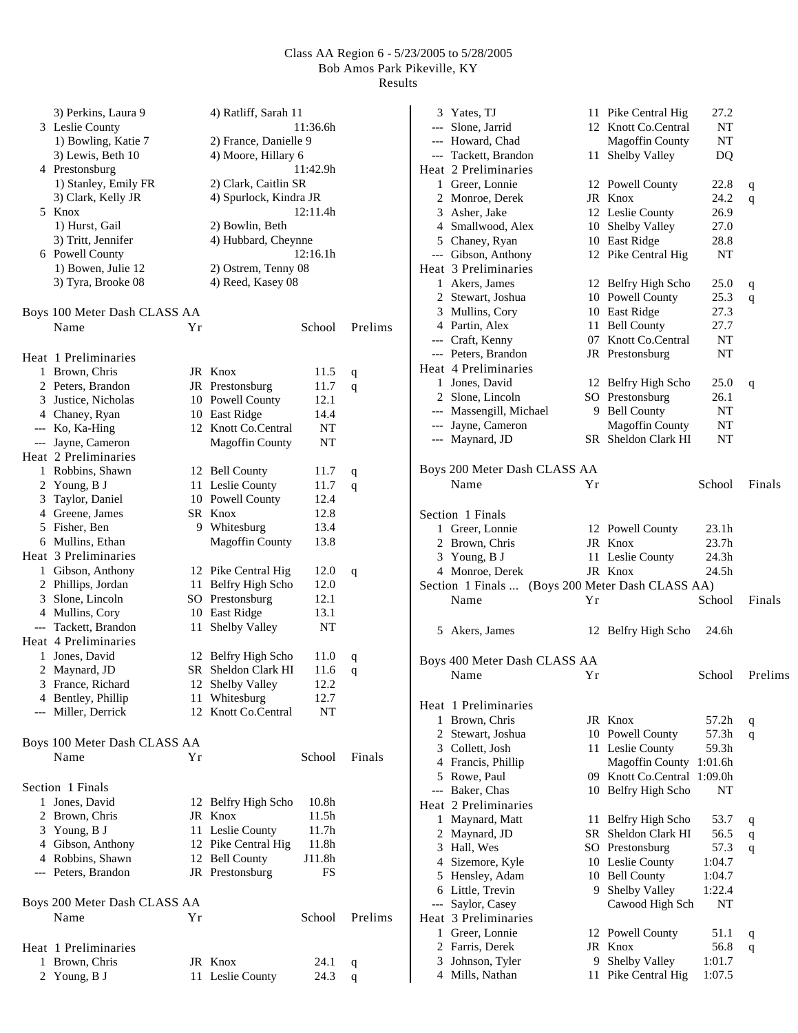|              | 3) Perkins, Laura 9          |    | 4) Ratliff, Sarah 11   |                   |         |
|--------------|------------------------------|----|------------------------|-------------------|---------|
|              | 3 Leslie County              |    |                        | 11:36.6h          |         |
|              | 1) Bowling, Katie 7          |    | 2) France, Danielle 9  |                   |         |
|              | 3) Lewis, Beth 10            |    | 4) Moore, Hillary 6    |                   |         |
|              | 4 Prestonsburg               |    |                        | 11:42.9h          |         |
|              | 1) Stanley, Emily FR         |    | 2) Clark, Caitlin SR   |                   |         |
|              | 3) Clark, Kelly JR           |    | 4) Spurlock, Kindra JR |                   |         |
|              |                              |    |                        |                   |         |
|              | 5 Knox                       |    |                        | 12:11.4h          |         |
|              | 1) Hurst, Gail               |    | 2) Bowlin, Beth        |                   |         |
|              | 3) Tritt, Jennifer           |    | 4) Hubbard, Cheynne    |                   |         |
|              | 6 Powell County              |    |                        | 12:16.1h          |         |
|              | 1) Bowen, Julie 12           |    | 2) Ostrem, Tenny 08    |                   |         |
|              | 3) Tyra, Brooke 08           |    | 4) Reed, Kasey 08      |                   |         |
|              | Boys 100 Meter Dash CLASS AA |    |                        |                   |         |
|              | Name                         | Υr |                        | School            | Prelims |
|              |                              |    |                        |                   |         |
|              | Heat 1 Preliminaries         |    |                        |                   |         |
|              | 1 Brown, Chris               |    | JR Knox                | 11.5              | q       |
|              | 2 Peters, Brandon            |    | JR Prestonsburg        | 11.7              | q       |
|              | 3 Justice, Nicholas          |    | 10 Powell County       | 12.1              |         |
|              | 4 Chaney, Ryan               |    | 10 East Ridge          | 14.4              |         |
|              | --- Ko, Ka-Hing              |    | 12 Knott Co.Central    | NT                |         |
|              | --- Jayne, Cameron           |    | <b>Magoffin County</b> | NT                |         |
|              | Heat 2 Preliminaries         |    |                        |                   |         |
| $\mathbf{1}$ | Robbins, Shawn               |    | 12 Bell County         | 11.7              |         |
|              |                              |    |                        |                   | q       |
|              | 2 Young, B J                 |    | 11 Leslie County       | 11.7              | q       |
|              | 3 Taylor, Daniel             |    | 10 Powell County       | 12.4              |         |
|              | 4 Greene, James              |    | SR Knox                | 12.8              |         |
|              | 5 Fisher, Ben                |    | 9 Whitesburg           | 13.4              |         |
|              | 6 Mullins, Ethan             |    | <b>Magoffin County</b> | 13.8              |         |
|              | Heat 3 Preliminaries         |    |                        |                   |         |
|              | 1 Gibson, Anthony            |    | 12 Pike Central Hig    | 12.0              | q       |
|              | 2 Phillips, Jordan           |    | 11 Belfry High Scho    | 12.0              |         |
|              | 3 Slone, Lincoln             |    | SO Prestonsburg        | 12.1              |         |
|              | 4 Mullins, Cory              |    | 10 East Ridge          | 13.1              |         |
| $---$        | Tackett, Brandon             | 11 | Shelby Valley          | NT                |         |
|              | Heat 4 Preliminaries         |    |                        |                   |         |
| 1            | Jones, David                 |    | 12 Belfry High Scho    | 11.0              | q       |
| 2            | Maynard, JD                  | SR | Sheldon Clark HI       | 11.6              | q       |
|              | 3 France, Richard            |    | 12 Shelby Valley       | 12.2              |         |
|              | 4 Bentley, Phillip           |    | 11 Whitesburg          | 12.7              |         |
|              | --- Miller, Derrick          |    | 12 Knott Co.Central    | NΤ                |         |
|              |                              |    |                        |                   |         |
|              | Boys 100 Meter Dash CLASS AA |    |                        |                   |         |
|              | Name                         | Υr |                        | School            | Finals  |
|              |                              |    |                        |                   |         |
|              | Section 1 Finals             |    |                        |                   |         |
|              | 1 Jones, David               |    | 12 Belfry High Scho    | 10.8 <sub>h</sub> |         |
|              | 2 Brown, Chris               |    | JR Knox                | 11.5h             |         |
|              | 3 Young, B J                 |    | 11 Leslie County       | 11.7 <sub>h</sub> |         |
|              | 4 Gibson, Anthony            |    | 12 Pike Central Hig    | 11.8h             |         |
|              | 4 Robbins, Shawn             |    | 12 Bell County         | J11.8h            |         |
|              | --- Peters, Brandon          |    | JR Prestonsburg        | FS                |         |
|              | Boys 200 Meter Dash CLASS AA |    |                        |                   |         |
|              |                              |    |                        | School            | Prelims |
|              | Name                         | Υr |                        |                   |         |
|              | Heat 1 Preliminaries         |    |                        |                   |         |
| 1            | Brown, Chris                 |    | JR Knox                | 24.1              | q       |
|              | 2 Young, B J                 |    | 11 Leslie County       | 24.3              | q       |
|              |                              |    |                        |                   |         |

|              | 3 Yates, TJ                                      |    | 11 Pike Central Hig    | 27.2    |              |
|--------------|--------------------------------------------------|----|------------------------|---------|--------------|
|              | --- Slone, Jarrid                                |    | 12 Knott Co.Central    | NT      |              |
|              | --- Howard, Chad                                 |    | <b>Magoffin County</b> | NΤ      |              |
|              | --- Tackett, Brandon                             |    | 11 Shelby Valley       | DQ      |              |
|              | Heat 2 Preliminaries                             |    |                        |         |              |
|              | 1 Greer, Lonnie                                  |    | 12 Powell County       | 22.8    | q            |
|              | 2 Monroe, Derek                                  |    | JR Knox                | 24.2    | q            |
|              | 3 Asher, Jake                                    |    | 12 Leslie County       | 26.9    |              |
|              | 4 Smallwood, Alex                                |    | 10 Shelby Valley       | 27.0    |              |
|              | 5 Chaney, Ryan                                   |    | 10 East Ridge          | 28.8    |              |
|              | --- Gibson, Anthony                              |    | 12 Pike Central Hig    | NΤ      |              |
|              | Heat 3 Preliminaries                             |    |                        |         |              |
|              | 1 Akers, James                                   |    | 12 Belfry High Scho    | 25.0    | q            |
|              | 2 Stewart, Joshua                                |    | 10 Powell County       | 25.3    | q            |
|              | 3 Mullins, Cory                                  |    | 10 East Ridge          | 27.3    |              |
|              | 4 Partin, Alex                                   |    | 11 Bell County         | 27.7    |              |
|              | --- Craft, Kenny                                 |    | 07 Knott Co.Central    | NΤ      |              |
|              | --- Peters, Brandon                              |    | JR Prestonsburg        | NΤ      |              |
|              | Heat 4 Preliminaries                             |    |                        |         |              |
|              | 1 Jones, David                                   |    | 12 Belfry High Scho    | 25.0    | q            |
|              | 2 Slone, Lincoln                                 |    | SO Prestonsburg        | 26.1    |              |
|              | --- Massengill, Michael                          |    | 9 Bell County          | NT      |              |
|              | --- Jayne, Cameron                               |    | <b>Magoffin County</b> | NΤ      |              |
|              | --- Maynard, JD                                  |    | SR Sheldon Clark HI    | NT      |              |
|              | Boys 200 Meter Dash CLASS AA                     |    |                        |         |              |
|              | Name                                             | Υr |                        | School  | Finals       |
|              |                                                  |    |                        |         |              |
|              | Section 1 Finals                                 |    |                        |         |              |
|              | 1 Greer, Lonnie                                  |    | 12 Powell County       | 23.1h   |              |
|              | 2 Brown, Chris                                   |    | JR Knox                | 23.7h   |              |
|              | 3 Young, B J                                     |    | 11 Leslie County       | 24.3h   |              |
|              | 4 Monroe, Derek                                  |    | JR Knox                | 24.5h   |              |
|              | Section 1 Finals  (Boys 200 Meter Dash CLASS AA) |    |                        |         |              |
|              | Name                                             | Yr |                        | School  | Finals       |
|              | 5 Akers, James                                   |    | 12 Belfry High Scho    | 24.6h   |              |
|              |                                                  |    |                        |         |              |
|              | Boys 400 Meter Dash CLASS AA<br>Name             | Υr |                        | School  | Prelims      |
|              |                                                  |    |                        |         |              |
|              | Heat 1 Preliminaries                             |    |                        |         |              |
|              | 1 Brown, Chris                                   |    | JR Knox                | 57.2h   | q            |
|              | 2 Stewart, Joshua                                |    | 10 Powell County       | 57.3h   | q            |
|              | 3 Collett, Josh                                  |    | 11 Leslie County       | 59.3h   |              |
|              | 4 Francis, Phillip                               |    | <b>Magoffin County</b> | 1:01.6h |              |
|              | 5 Rowe, Paul                                     |    | 09 Knott Co.Central    | 1:09.0h |              |
|              | --- Baker, Chas                                  |    | 10 Belfry High Scho    | NT      |              |
|              | Heat 2 Preliminaries                             |    |                        |         |              |
| 1            | Maynard, Matt                                    | 11 | Belfry High Scho       | 53.7    | q            |
|              | 2 Maynard, JD                                    |    | SR Sheldon Clark HI    | 56.5    | $\mathbf{q}$ |
|              | 3 Hall, Wes                                      |    | SO Prestonsburg        | 57.3    | q            |
|              | 4 Sizemore, Kyle                                 |    | 10 Leslie County       | 1:04.7  |              |
|              | 5 Hensley, Adam                                  |    | 10 Bell County         | 1:04.7  |              |
|              | 6 Little, Trevin                                 |    | 9 Shelby Valley        | 1:22.4  |              |
| $---$        | Saylor, Casey                                    |    | Cawood High Sch        | NT      |              |
|              | Heat 3 Preliminaries                             |    |                        |         |              |
| $\mathbf{1}$ | Greer, Lonnie                                    |    | 12 Powell County       | 51.1    | $\mathbf{q}$ |
|              | 2 Farris, Derek                                  |    | JR Knox                | 56.8    | q            |
|              | 3 Johnson, Tyler                                 | 9  | Shelby Valley          | 1:01.7  |              |
|              | 4 Mills, Nathan                                  | 11 | Pike Central Hig       | 1:07.5  |              |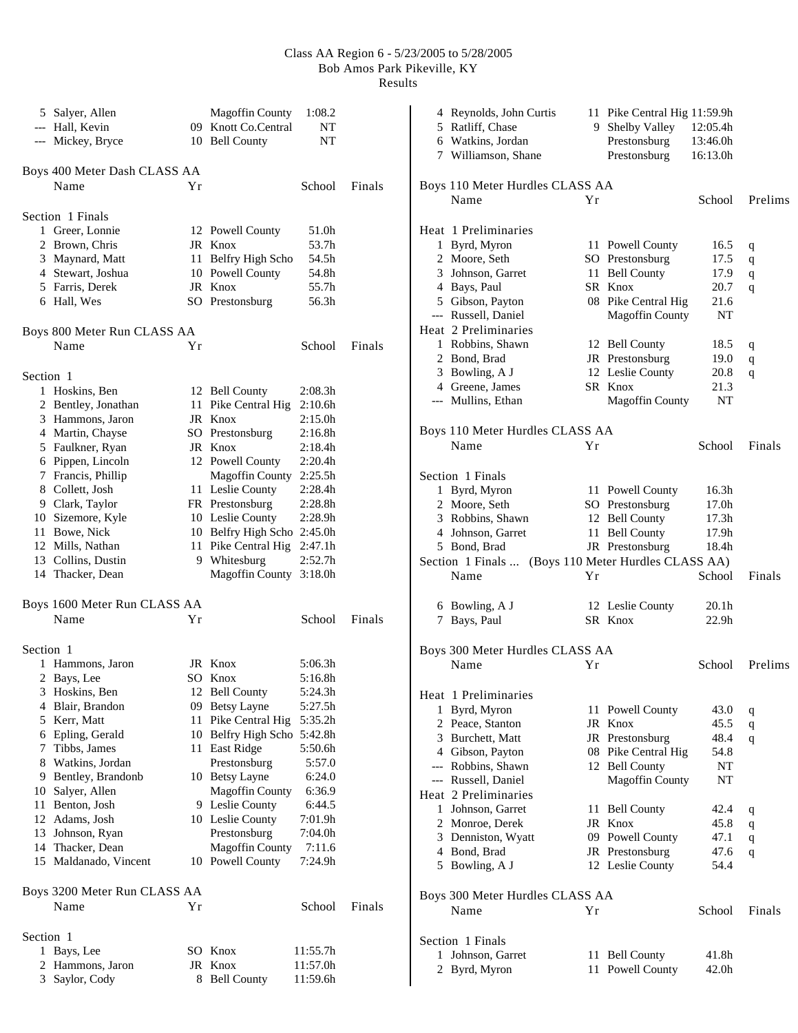|              | 5 Salyer, Allen                      |    | <b>Magoffin County</b>      | 1:08.2   |        |
|--------------|--------------------------------------|----|-----------------------------|----------|--------|
|              | --- Hall, Kevin                      |    | 09 Knott Co.Central         | NT       |        |
|              | --- Mickey, Bryce                    |    | 10 Bell County              | NΤ       |        |
|              |                                      |    |                             |          |        |
|              | Boys 400 Meter Dash CLASS AA<br>Name | Yr |                             | School   | Finals |
|              |                                      |    |                             |          |        |
|              | Section 1 Finals                     |    |                             |          |        |
| $\mathbf{1}$ | Greer, Lonnie                        |    | 12 Powell County            | 51.0h    |        |
|              | 2 Brown, Chris                       |    | JR Knox                     | 53.7h    |        |
|              | 3 Maynard, Matt                      |    | 11 Belfry High Scho         | 54.5h    |        |
|              | 4 Stewart, Joshua                    |    | 10 Powell County            | 54.8h    |        |
|              | 5 Farris, Derek                      |    | JR Knox                     | 55.7h    |        |
|              | 6 Hall, Wes                          |    | SO Prestonsburg             | 56.3h    |        |
|              |                                      |    |                             |          |        |
|              | Boys 800 Meter Run CLASS AA<br>Name  | Υr |                             | School   | Finals |
|              |                                      |    |                             |          |        |
| Section 1    |                                      |    |                             |          |        |
|              | 1 Hoskins, Ben                       |    | 12 Bell County              | 2:08.3h  |        |
|              | 2 Bentley, Jonathan                  |    | 11 Pike Central Hig         | 2:10.6h  |        |
|              | 3 Hammons, Jaron                     |    | JR Knox                     | 2:15.0h  |        |
|              | 4 Martin, Chayse                     |    | SO Prestonsburg             | 2:16.8h  |        |
|              | 5 Faulkner, Ryan                     |    | JR Knox                     | 2:18.4h  |        |
|              | 6 Pippen, Lincoln                    |    | 12 Powell County            | 2:20.4h  |        |
|              | 7 Francis, Phillip                   |    | Magoffin County 2:25.5h     |          |        |
|              | 8 Collett, Josh                      |    | 11 Leslie County            | 2:28.4h  |        |
|              | 9 Clark, Taylor                      |    | FR Prestonsburg             | 2:28.8h  |        |
|              | 10 Sizemore, Kyle                    |    | 10 Leslie County            | 2:28.9h  |        |
|              | 11 Bowe, Nick                        |    | 10 Belfry High Scho 2:45.0h |          |        |
|              | 12 Mills, Nathan                     |    | 11 Pike Central Hig 2:47.1h |          |        |
|              | 13 Collins, Dustin                   |    | 9 Whitesburg                | 2:52.7h  |        |
|              | 14 Thacker, Dean                     |    | Magoffin County 3:18.0h     |          |        |
|              | Boys 1600 Meter Run CLASS AA         |    |                             |          |        |
|              | Name                                 | Υr |                             | School   | Finals |
|              |                                      |    |                             |          |        |
| Section 1    |                                      |    |                             |          |        |
|              | 1 Hammons, Jaron                     |    | JR Knox                     | 5:06.3h  |        |
|              | 2 Bays, Lee                          |    | SO Knox                     | 5:16.8h  |        |
|              | 3 Hoskins, Ben                       |    | 12 Bell County              | 5:24.3h  |        |
|              | 4 Blair, Brandon                     |    | 09 Betsy Layne              | 5:27.5h  |        |
|              | 5 Kerr, Matt                         |    | 11 Pike Central Hig         | 5:35.2h  |        |
|              | 6 Epling, Gerald                     |    | 10 Belfry High Scho 5:42.8h |          |        |
|              | 7 Tibbs, James                       |    | 11 East Ridge               | 5:50.6h  |        |
|              | 8 Watkins, Jordan                    |    | Prestonsburg                | 5:57.0   |        |
|              | 9 Bentley, Brandonb                  |    | 10 Betsy Layne              | 6:24.0   |        |
|              | 10 Salyer, Allen                     |    | <b>Magoffin County</b>      | 6:36.9   |        |
|              | 11 Benton, Josh                      |    | 9 Leslie County             | 6:44.5   |        |
|              | 12 Adams, Josh                       |    | 10 Leslie County            | 7:01.9h  |        |
|              | 13 Johnson, Ryan                     |    | Prestonsburg                | 7:04.0h  |        |
|              | 14 Thacker, Dean                     |    | <b>Magoffin County</b>      | 7:11.6   |        |
|              | 15 Maldanado, Vincent                |    | 10 Powell County            | 7:24.9h  |        |
|              | Boys 3200 Meter Run CLASS AA         |    |                             |          |        |
|              | Name                                 | Υr |                             | School   | Finals |
|              |                                      |    |                             |          |        |
| Section 1    |                                      |    |                             |          |        |
| 1            | Bays, Lee                            |    | SO Knox                     | 11:55.7h |        |
|              | 2 Hammons, Jaron                     |    | JR Knox                     | 11:57.0h |        |
|              | 3 Saylor, Cody                       | 8. | <b>Bell County</b>          | 11:59.6h |        |

| 4 Reynolds, John Curtis<br>5 Ratliff, Chase<br>6 Watkins, Jordan<br>7 Williamson, Shane |    | 11 Pike Central Hig 11:59.9h<br>9 Shelby Valley<br>Prestonsburg<br>Prestonsburg | 12:05.4h<br>13:46.0h<br>16:13.0h |             |
|-----------------------------------------------------------------------------------------|----|---------------------------------------------------------------------------------|----------------------------------|-------------|
| Boys 110 Meter Hurdles CLASS AA                                                         |    |                                                                                 |                                  |             |
| Name                                                                                    | Yr |                                                                                 | School                           | Prelims     |
|                                                                                         |    |                                                                                 |                                  |             |
| Heat 1 Preliminaries                                                                    |    |                                                                                 |                                  |             |
| 1 Byrd, Myron                                                                           |    | 11 Powell County                                                                | 16.5                             | q           |
| 2 Moore, Seth<br>3 Johnson, Garret                                                      |    | SO Prestonsburg<br>11 Bell County                                               | 17.5                             | q           |
| 4 Bays, Paul                                                                            |    | SR Knox                                                                         | 17.9<br>20.7                     | $\mathbf q$ |
| 5 Gibson, Payton                                                                        |    | 08 Pike Central Hig                                                             | 21.6                             | q           |
| --- Russell, Daniel                                                                     |    | <b>Magoffin County</b>                                                          | NT                               |             |
| Heat 2 Preliminaries                                                                    |    |                                                                                 |                                  |             |
| 1 Robbins, Shawn                                                                        |    | 12 Bell County                                                                  | 18.5                             | q           |
| 2 Bond, Brad                                                                            |    | JR Prestonsburg                                                                 | 19.0                             | q           |
| 3 Bowling, A J                                                                          |    | 12 Leslie County                                                                | 20.8                             | q           |
| 4 Greene, James                                                                         |    | SR Knox                                                                         | 21.3                             |             |
| --- Mullins, Ethan                                                                      |    | <b>Magoffin County</b>                                                          | NT                               |             |
|                                                                                         |    |                                                                                 |                                  |             |
| Boys 110 Meter Hurdles CLASS AA                                                         |    |                                                                                 |                                  |             |
| Name                                                                                    | Υr |                                                                                 | School                           | Finals      |
|                                                                                         |    |                                                                                 |                                  |             |
| Section 1 Finals                                                                        |    |                                                                                 |                                  |             |
| 1 Byrd, Myron                                                                           |    | 11 Powell County                                                                | 16.3 <sub>h</sub>                |             |
| 2 Moore, Seth                                                                           |    | SO Prestonsburg                                                                 | 17.0h                            |             |
| 3 Robbins, Shawn                                                                        |    | 12 Bell County                                                                  | 17.3h                            |             |
| 4 Johnson, Garret                                                                       |    | 11 Bell County                                                                  | 17.9h                            |             |
| 5 Bond, Brad                                                                            |    | JR Prestonsburg                                                                 | 18.4h                            |             |
| Section 1 Finals                                                                        |    | (Boys 110 Meter Hurdles CLASS AA)                                               |                                  |             |
| Name                                                                                    | Υr |                                                                                 | School                           | Finals      |
|                                                                                         |    |                                                                                 |                                  |             |
|                                                                                         |    |                                                                                 |                                  |             |
| 6 Bowling, A J                                                                          |    | 12 Leslie County                                                                | 20.1h                            |             |
| 7 Bays, Paul                                                                            |    | SR Knox                                                                         | 22.9 <sub>h</sub>                |             |
|                                                                                         |    |                                                                                 |                                  |             |
| Boys 300 Meter Hurdles CLASS AA                                                         |    |                                                                                 |                                  |             |
| Name                                                                                    | Yr |                                                                                 | School                           | Prelims     |
|                                                                                         |    |                                                                                 |                                  |             |
| Heat 1 Preliminaries                                                                    |    |                                                                                 |                                  |             |
| 1 Byrd, Myron                                                                           | 11 | <b>Powell County</b>                                                            | 43.0                             | q           |
| 2 Peace, Stanton                                                                        |    | JR Knox                                                                         | 45.5                             | q           |
| 3 Burchett, Matt                                                                        |    | JR Prestonsburg                                                                 | 48.4                             | q           |
| 4 Gibson, Payton                                                                        |    | 08 Pike Central Hig                                                             | 54.8                             |             |
| --- Robbins, Shawn                                                                      |    | 12 Bell County                                                                  | NT                               |             |
| --- Russell, Daniel<br>Heat 2 Preliminaries                                             |    | <b>Magoffin County</b>                                                          | NT                               |             |
| 1 Johnson, Garret                                                                       | 11 |                                                                                 | 42.4                             |             |
| 2 Monroe, Derek                                                                         | JR | <b>Bell County</b><br>Knox                                                      | 45.8                             | q           |
| 3 Denniston, Wyatt                                                                      |    | 09 Powell County                                                                | 47.1                             | q<br>q      |
| 4 Bond, Brad                                                                            |    | JR Prestonsburg                                                                 | 47.6                             | q           |
| 5 Bowling, A J                                                                          |    | 12 Leslie County                                                                | 54.4                             |             |
|                                                                                         |    |                                                                                 |                                  |             |
| Boys 300 Meter Hurdles CLASS AA                                                         |    |                                                                                 |                                  |             |
| Name                                                                                    | Υr |                                                                                 | School                           | Finals      |
|                                                                                         |    |                                                                                 |                                  |             |
| Section 1 Finals                                                                        |    |                                                                                 |                                  |             |
| Johnson, Garret<br>1<br>2<br>Byrd, Myron                                                | 11 | 11 Bell County<br>Powell County                                                 | 41.8h<br>42.0h                   |             |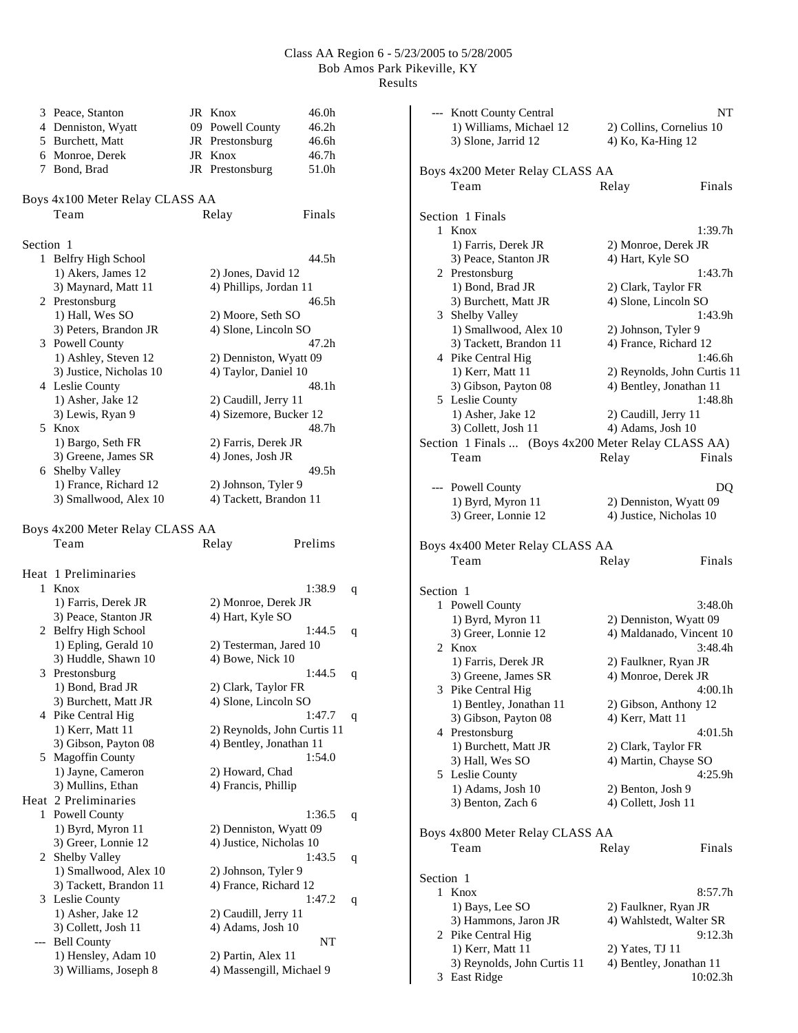| 6         | 3 Peace, Stanton<br>4 Denniston, Wyatt<br>5 Burchett, Matt<br>Monroe, Derek | JR Knox<br>09 Powell County<br>JR Prestonsburg<br>JR Knox | 46.0h<br>46.2h<br>46.6h<br>46.7h |           | --- Knott County Central<br>1) Williams, Michael 12<br>3) Slone, Jarrid 12 | 4) Ko, Ka-Hing 12       | NT<br>2) Collins, Cornelius 10 |
|-----------|-----------------------------------------------------------------------------|-----------------------------------------------------------|----------------------------------|-----------|----------------------------------------------------------------------------|-------------------------|--------------------------------|
|           | 7 Bond, Brad                                                                | JR Prestonsburg                                           | 51.0h                            |           | Boys 4x200 Meter Relay CLASS AA<br>Team                                    | Relay                   | Finals                         |
|           | Boys 4x100 Meter Relay CLASS AA                                             |                                                           |                                  |           |                                                                            |                         |                                |
|           | Team                                                                        | Relay                                                     | Finals                           |           | Section 1 Finals                                                           |                         |                                |
|           |                                                                             |                                                           |                                  |           | 1 Knox                                                                     |                         | 1:39.7h                        |
| Section 1 |                                                                             |                                                           |                                  |           | 1) Farris, Derek JR                                                        | 2) Monroe, Derek JR     |                                |
|           | 1 Belfry High School                                                        |                                                           | 44.5h                            |           | 3) Peace, Stanton JR                                                       | 4) Hart, Kyle SO        |                                |
|           | 1) Akers, James 12                                                          | 2) Jones, David 12                                        |                                  |           | 2 Prestonsburg                                                             |                         | 1:43.7h                        |
|           | 3) Maynard, Matt 11                                                         | 4) Phillips, Jordan 11                                    |                                  |           | 1) Bond, Brad JR                                                           | 2) Clark, Taylor FR     |                                |
|           | 2 Prestonsburg                                                              |                                                           | 46.5h                            |           | 3) Burchett, Matt JR                                                       | 4) Slone, Lincoln SO    |                                |
|           | 1) Hall, Wes SO                                                             | 2) Moore, Seth SO                                         |                                  |           | 3 Shelby Valley                                                            |                         | 1:43.9h                        |
|           | 3) Peters, Brandon JR                                                       | 4) Slone, Lincoln SO                                      |                                  |           | 1) Smallwood, Alex 10                                                      | 2) Johnson, Tyler 9     |                                |
|           | 3 Powell County                                                             |                                                           | 47.2h                            |           | 3) Tackett, Brandon 11                                                     | 4) France, Richard 12   |                                |
|           | 1) Ashley, Steven 12                                                        | 2) Denniston, Wyatt 09                                    |                                  |           | 4 Pike Central Hig                                                         |                         | 1:46.6h                        |
|           | 3) Justice, Nicholas 10                                                     | 4) Taylor, Daniel 10                                      |                                  |           | 1) Kerr, Matt 11                                                           |                         | 2) Reynolds, John Curtis 11    |
|           | 4 Leslie County                                                             |                                                           | 48.1h                            |           | 3) Gibson, Payton 08                                                       | 4) Bentley, Jonathan 11 |                                |
|           | 1) Asher, Jake 12                                                           | 2) Caudill, Jerry 11                                      |                                  |           | 5 Leslie County                                                            |                         | 1:48.8h                        |
|           | 3) Lewis, Ryan 9                                                            | 4) Sizemore, Bucker 12                                    |                                  |           | 1) Asher, Jake 12                                                          | 2) Caudill, Jerry 11    |                                |
|           | 5 Knox                                                                      |                                                           | 48.7h                            |           | 3) Collett, Josh 11                                                        | 4) Adams, Josh 10       |                                |
|           | 1) Bargo, Seth FR                                                           | 2) Farris, Derek JR                                       |                                  |           | Section 1 Finals  (Boys 4x200 Meter Relay CLASS AA)                        |                         |                                |
|           | 3) Greene, James SR                                                         | 4) Jones, Josh JR                                         |                                  |           | Team                                                                       | Relay                   | Finals                         |
|           | 6 Shelby Valley                                                             |                                                           | 49.5 <sub>h</sub>                |           |                                                                            |                         |                                |
|           | 1) France, Richard 12                                                       | 2) Johnson, Tyler 9                                       |                                  |           | --- Powell County                                                          |                         | DQ                             |
|           | 3) Smallwood, Alex 10                                                       | 4) Tackett, Brandon 11                                    |                                  |           | 1) Byrd, Myron 11                                                          | 2) Denniston, Wyatt 09  |                                |
|           |                                                                             |                                                           |                                  |           | 3) Greer, Lonnie 12                                                        | 4) Justice, Nicholas 10 |                                |
|           | Boys 4x200 Meter Relay CLASS AA                                             |                                                           |                                  |           |                                                                            |                         |                                |
|           | Team                                                                        | Relay                                                     | Prelims                          |           | Boys 4x400 Meter Relay CLASS AA                                            |                         |                                |
|           |                                                                             |                                                           |                                  |           | Team                                                                       | Relay                   | Finals                         |
|           | Heat 1 Preliminaries                                                        |                                                           |                                  |           |                                                                            |                         |                                |
|           | 1 Knox                                                                      |                                                           | 1:38.9<br>q                      | Section 1 |                                                                            |                         |                                |
|           | 1) Farris, Derek JR                                                         | 2) Monroe, Derek JR                                       |                                  |           | 1 Powell County                                                            |                         | 3:48.0h                        |
|           | 3) Peace, Stanton JR                                                        | 4) Hart, Kyle SO                                          |                                  |           | 1) Byrd, Myron 11                                                          | 2) Denniston, Wyatt 09  |                                |
|           | 2 Belfry High School                                                        |                                                           | 1:44.5<br>q                      |           | 3) Greer, Lonnie 12                                                        |                         | 4) Maldanado, Vincent 10       |
|           | 1) Epling, Gerald 10                                                        | 2) Testerman, Jared 10                                    |                                  |           | 2 Knox                                                                     |                         | 3:48.4h                        |
|           | 3) Huddle, Shawn 10                                                         | 4) Bowe, Nick 10                                          |                                  |           | 1) Farris, Derek JR                                                        | 2) Faulkner, Ryan JR    |                                |
|           | 3 Prestonsburg                                                              |                                                           | 1:44.5<br>q                      |           | 3) Greene, James SR                                                        | 4) Monroe, Derek JR     |                                |
|           | 1) Bond, Brad JR                                                            | 2) Clark, Taylor FR                                       |                                  |           | 3 Pike Central Hig                                                         |                         | 4:00.1h                        |
|           | 3) Burchett, Matt JR                                                        | 4) Slone, Lincoln SO                                      |                                  |           | 1) Bentley, Jonathan 11                                                    | 2) Gibson, Anthony 12   |                                |
|           | 4 Pike Central Hig                                                          |                                                           | 1:47.7<br>q                      |           | 3) Gibson, Payton 08                                                       | 4) Kerr, Matt 11        |                                |
|           | 1) Kerr, Matt 11<br>3) Gibson, Payton 08                                    | 2) Reynolds, John Curtis 11<br>4) Bentley, Jonathan 11    |                                  |           | 4 Prestonsburg                                                             |                         | 4:01.5h                        |
|           | 5 Magoffin County                                                           |                                                           | 1:54.0                           |           | 1) Burchett, Matt JR                                                       | 2) Clark, Taylor FR     |                                |
|           | 1) Jayne, Cameron                                                           | 2) Howard, Chad                                           |                                  |           | 3) Hall, Wes SO                                                            | 4) Martin, Chayse SO    |                                |
|           | 3) Mullins, Ethan                                                           | 4) Francis, Phillip                                       |                                  |           | 5 Leslie County                                                            |                         | 4:25.9h                        |
|           | Heat 2 Preliminaries                                                        |                                                           |                                  |           | 1) Adams, Josh 10                                                          | 2) Benton, Josh 9       |                                |
|           | 1 Powell County                                                             |                                                           | 1:36.5<br>q                      |           | 3) Benton, Zach 6                                                          | 4) Collett, Josh 11     |                                |
|           | 1) Byrd, Myron 11                                                           | 2) Denniston, Wyatt 09                                    |                                  |           |                                                                            |                         |                                |
|           | 3) Greer, Lonnie 12                                                         | 4) Justice, Nicholas 10                                   |                                  |           | Boys 4x800 Meter Relay CLASS AA                                            |                         |                                |
|           | 2 Shelby Valley                                                             |                                                           | 1:43.5<br>$\mathbf q$            |           | Team                                                                       | Relay                   | Finals                         |
|           | 1) Smallwood, Alex 10                                                       | 2) Johnson, Tyler 9                                       |                                  |           |                                                                            |                         |                                |
|           | 3) Tackett, Brandon 11                                                      | 4) France, Richard 12                                     |                                  | Section 1 |                                                                            |                         |                                |
|           | 3 Leslie County                                                             |                                                           | 1:47.2<br>q                      |           | 1 Knox                                                                     |                         | 8:57.7h                        |
|           | 1) Asher, Jake 12                                                           | 2) Caudill, Jerry 11                                      |                                  |           | 1) Bays, Lee SO                                                            | 2) Faulkner, Ryan JR    |                                |
|           | 3) Collett, Josh 11                                                         | 4) Adams, Josh 10                                         |                                  |           | 3) Hammons, Jaron JR                                                       |                         | 4) Wahlstedt, Walter SR        |
|           | --- Bell County                                                             |                                                           | NT                               |           | 2 Pike Central Hig                                                         |                         | 9:12.3h                        |
|           | 1) Hensley, Adam 10                                                         | 2) Partin, Alex 11                                        |                                  |           | 1) Kerr, Matt 11                                                           | 2) Yates, TJ 11         |                                |
|           | 3) Williams, Joseph 8                                                       | 4) Massengill, Michael 9                                  |                                  |           | 3) Reynolds, John Curtis 11                                                | 4) Bentley, Jonathan 11 |                                |
|           |                                                                             |                                                           |                                  |           | 3 East Ridge                                                               |                         | 10:02.3h                       |